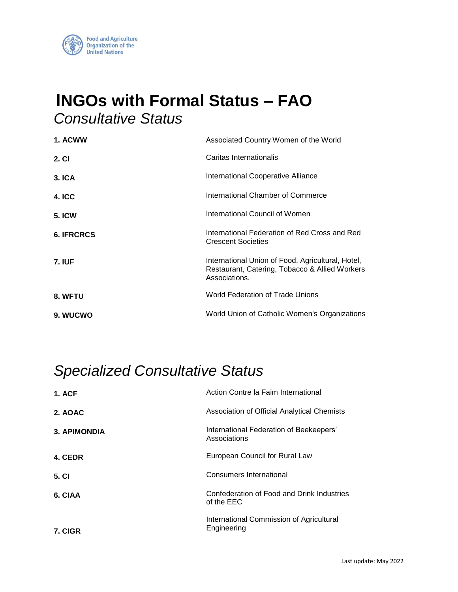

## **lNGOs with Formal Status – FAO**  *Consultative Status*

| 1. ACWW           | Associated Country Women of the World                                                                                |
|-------------------|----------------------------------------------------------------------------------------------------------------------|
| 2. CI             | Caritas Internationalis                                                                                              |
| <b>3. ICA</b>     | International Cooperative Alliance                                                                                   |
| <b>4. ICC</b>     | International Chamber of Commerce                                                                                    |
| <b>5. ICW</b>     | International Council of Women                                                                                       |
| <b>6. IFRCRCS</b> | International Federation of Red Cross and Red<br><b>Crescent Societies</b>                                           |
| <b>7. IUF</b>     | International Union of Food, Agricultural, Hotel,<br>Restaurant, Catering, Tobacco & Allied Workers<br>Associations. |
| 8. WFTU           | World Federation of Trade Unions                                                                                     |
| 9. WUCWO          | World Union of Catholic Women's Organizations                                                                        |

## *Specialized Consultative Status*

| <b>1. ACF</b>       | Action Contre la Faim International                      |
|---------------------|----------------------------------------------------------|
| 2. AOAC             | Association of Official Analytical Chemists              |
| <b>3. APIMONDIA</b> | International Federation of Beekeepers'<br>Associations  |
| 4. CEDR             | European Council for Rural Law                           |
| 5. CI               | Consumers International                                  |
| 6. CIAA             | Confederation of Food and Drink Industries<br>of the EEC |
| 7. CIGR             | International Commission of Agricultural<br>Engineering  |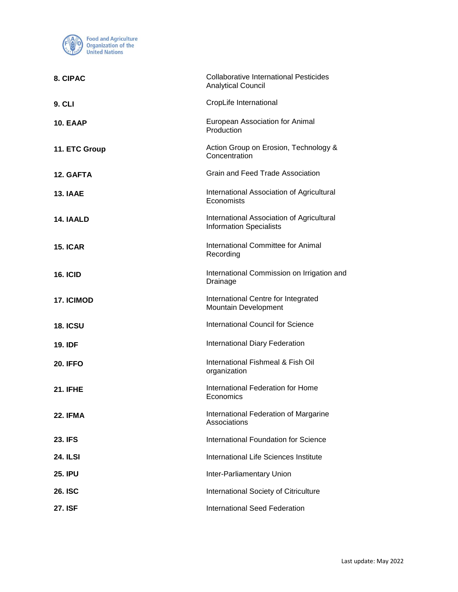

| 8. CIPAC        | <b>Collaborative International Pesticides</b><br><b>Analytical Council</b>  |
|-----------------|-----------------------------------------------------------------------------|
| <b>9. CLI</b>   | CropLife International                                                      |
| <b>10. EAAP</b> | European Association for Animal<br>Production                               |
| 11. ETC Group   | Action Group on Erosion, Technology &<br>Concentration                      |
| 12. GAFTA       | Grain and Feed Trade Association                                            |
| 13. IAAE        | International Association of Agricultural<br>Economists                     |
| 14. IAALD       | International Association of Agricultural<br><b>Information Specialists</b> |
| <b>15. ICAR</b> | International Committee for Animal<br>Recording                             |
| <b>16. ICID</b> | International Commission on Irrigation and<br>Drainage                      |
| 17. ICIMOD      | International Centre for Integrated<br>Mountain Development                 |
| <b>18. ICSU</b> | <b>International Council for Science</b>                                    |
| <b>19. IDF</b>  | <b>International Diary Federation</b>                                       |
| <b>20. IFFO</b> | International Fishmeal & Fish Oil<br>organization                           |
| <b>21. IFHE</b> | International Federation for Home<br>Economics                              |
| <b>22. IFMA</b> | International Federation of Margarine<br>Associations                       |
| <b>23. IFS</b>  | International Foundation for Science                                        |
| <b>24. ILSI</b> | International Life Sciences Institute                                       |
| <b>25. IPU</b>  | Inter-Parliamentary Union                                                   |
| <b>26. ISC</b>  | International Society of Citriculture                                       |
| <b>27. ISF</b>  | <b>International Seed Federation</b>                                        |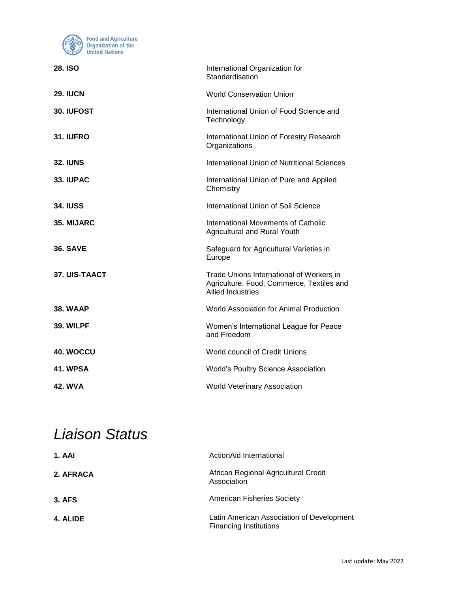

| International Organization for<br>Standardisation                                                                 |
|-------------------------------------------------------------------------------------------------------------------|
| <b>World Conservation Union</b>                                                                                   |
| International Union of Food Science and<br>Technology                                                             |
| International Union of Forestry Research<br>Organizations                                                         |
| International Union of Nutritional Sciences                                                                       |
| International Union of Pure and Applied<br>Chemistry                                                              |
| International Union of Soil Science                                                                               |
| <b>International Movements of Catholic</b><br>Agricultural and Rural Youth                                        |
| Safeguard for Agricultural Varieties in<br>Europe                                                                 |
| Trade Unions International of Workers in<br>Agriculture, Food, Commerce, Textiles and<br><b>Allied Industries</b> |
| World Association for Animal Production                                                                           |
| Women's International League for Peace<br>and Freedom                                                             |
| World council of Credit Unions                                                                                    |
| World's Poultry Science Association                                                                               |
| <b>World Veterinary Association</b>                                                                               |
|                                                                                                                   |

## *Liaison Status*

| <b>1. AAI</b> | ActionAid International                                                    |
|---------------|----------------------------------------------------------------------------|
| 2. AFRACA     | African Regional Agricultural Credit<br>Association                        |
| <b>3. AFS</b> | <b>American Fisheries Society</b>                                          |
| 4. ALIDE      | Latin American Association of Development<br><b>Financing Institutions</b> |